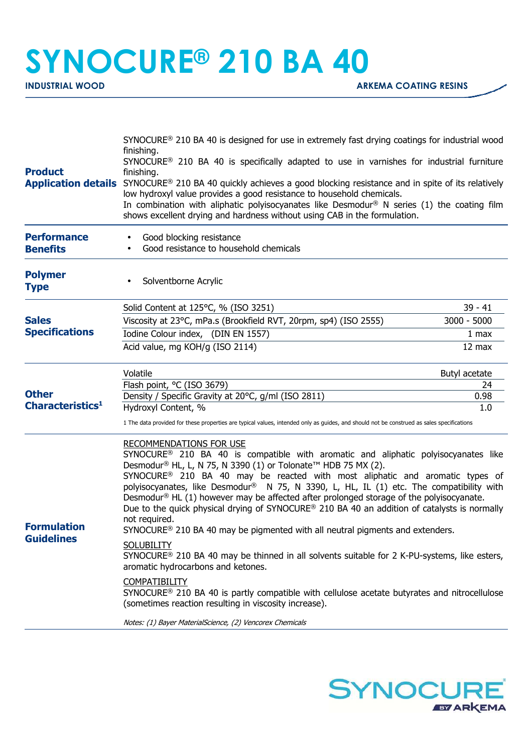## **SYNOCURE® 210 BA 40**

| finishing.<br>SYNOCURE <sup>®</sup> 210 BA 40 is specifically adapted to use in varnishes for industrial furniture<br>finishing.<br>Application details SYNOCURE® 210 BA 40 quickly achieves a good blocking resistance and in spite of its relatively<br>low hydroxyl value provides a good resistance to household chemicals.<br>In combination with aliphatic polyisocyanates like Desmodur <sup>®</sup> N series (1) the coating film<br>shows excellent drying and hardness without using CAB in the formulation.                                                                                                                                                                                                                                                                                                                                                                                                                                                                                                                                                                                                                                                  |                                                                                                                                                                                                                       |
|-------------------------------------------------------------------------------------------------------------------------------------------------------------------------------------------------------------------------------------------------------------------------------------------------------------------------------------------------------------------------------------------------------------------------------------------------------------------------------------------------------------------------------------------------------------------------------------------------------------------------------------------------------------------------------------------------------------------------------------------------------------------------------------------------------------------------------------------------------------------------------------------------------------------------------------------------------------------------------------------------------------------------------------------------------------------------------------------------------------------------------------------------------------------------|-----------------------------------------------------------------------------------------------------------------------------------------------------------------------------------------------------------------------|
| Good blocking resistance<br>Good resistance to household chemicals                                                                                                                                                                                                                                                                                                                                                                                                                                                                                                                                                                                                                                                                                                                                                                                                                                                                                                                                                                                                                                                                                                      |                                                                                                                                                                                                                       |
| Solventborne Acrylic                                                                                                                                                                                                                                                                                                                                                                                                                                                                                                                                                                                                                                                                                                                                                                                                                                                                                                                                                                                                                                                                                                                                                    |                                                                                                                                                                                                                       |
| Solid Content at 125°C, % (ISO 3251)                                                                                                                                                                                                                                                                                                                                                                                                                                                                                                                                                                                                                                                                                                                                                                                                                                                                                                                                                                                                                                                                                                                                    | $39 - 41$                                                                                                                                                                                                             |
| Viscosity at 23°C, mPa.s (Brookfield RVT, 20rpm, sp4) (ISO 2555)                                                                                                                                                                                                                                                                                                                                                                                                                                                                                                                                                                                                                                                                                                                                                                                                                                                                                                                                                                                                                                                                                                        | 3000 - 5000                                                                                                                                                                                                           |
| Iodine Colour index, (DIN EN 1557)                                                                                                                                                                                                                                                                                                                                                                                                                                                                                                                                                                                                                                                                                                                                                                                                                                                                                                                                                                                                                                                                                                                                      | 1 <sub>max</sub>                                                                                                                                                                                                      |
| Acid value, mg KOH/g (ISO 2114)                                                                                                                                                                                                                                                                                                                                                                                                                                                                                                                                                                                                                                                                                                                                                                                                                                                                                                                                                                                                                                                                                                                                         | 12 max                                                                                                                                                                                                                |
| Volatile                                                                                                                                                                                                                                                                                                                                                                                                                                                                                                                                                                                                                                                                                                                                                                                                                                                                                                                                                                                                                                                                                                                                                                | Butyl acetate                                                                                                                                                                                                         |
|                                                                                                                                                                                                                                                                                                                                                                                                                                                                                                                                                                                                                                                                                                                                                                                                                                                                                                                                                                                                                                                                                                                                                                         | 24                                                                                                                                                                                                                    |
|                                                                                                                                                                                                                                                                                                                                                                                                                                                                                                                                                                                                                                                                                                                                                                                                                                                                                                                                                                                                                                                                                                                                                                         | 0.98<br>1.0                                                                                                                                                                                                           |
| 1 The data provided for these properties are typical values, intended only as guides, and should not be construed as sales specifications                                                                                                                                                                                                                                                                                                                                                                                                                                                                                                                                                                                                                                                                                                                                                                                                                                                                                                                                                                                                                               |                                                                                                                                                                                                                       |
| <b>RECOMMENDATIONS FOR USE</b><br>SYNOCURE <sup>®</sup> 210 BA 40 is compatible with aromatic and aliphatic polyisocyanates like<br>Desmodur® HL, L, N 75, N 3390 (1) or Tolonate <sup>™</sup> HDB 75 MX (2).<br>SYNOCURE <sup>®</sup> 210 BA 40 may be reacted with most aliphatic and aromatic types of<br>polyisocyanates, like Desmodur <sup>®</sup> N 75, N 3390, L, HL, IL (1) etc. The compatibility with<br>Desmodur <sup>®</sup> HL $(1)$ however may be affected after prolonged storage of the polyisocyanate.<br>Due to the quick physical drying of SYNOCURE® 210 BA 40 an addition of catalysts is normally<br>not required.<br>SYNOCURE <sup>®</sup> 210 BA 40 may be pigmented with all neutral pigments and extenders.<br><b>SOLUBILITY</b><br>SYNOCURE <sup>®</sup> 210 BA 40 may be thinned in all solvents suitable for 2 K-PU-systems, like esters,<br>aromatic hydrocarbons and ketones.<br><b>COMPATIBILITY</b><br>SYNOCURE <sup>®</sup> 210 BA 40 is partly compatible with cellulose acetate butyrates and nitrocellulose<br>(sometimes reaction resulting in viscosity increase).<br>Notes: (1) Bayer MaterialScience, (2) Vencorex Chemicals |                                                                                                                                                                                                                       |
|                                                                                                                                                                                                                                                                                                                                                                                                                                                                                                                                                                                                                                                                                                                                                                                                                                                                                                                                                                                                                                                                                                                                                                         | SYNOCURE <sup>®</sup> 210 BA 40 is designed for use in extremely fast drying coatings for industrial wood<br>Flash point, °C (ISO 3679)<br>Density / Specific Gravity at 20°C, g/ml (ISO 2811)<br>Hydroxyl Content, % |